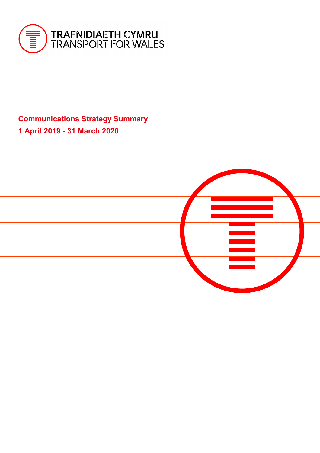

**Communications Strategy Summary 1 April 2019 - 31 March 2020**

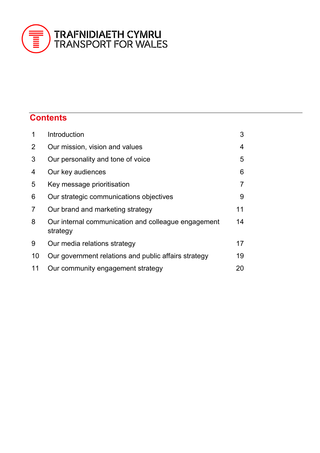

# **Contents**

| 1              | Introduction                                                    | 3              |
|----------------|-----------------------------------------------------------------|----------------|
| $\overline{2}$ | Our mission, vision and values                                  | 4              |
| 3              | Our personality and tone of voice                               | 5              |
| 4              | Our key audiences                                               | 6              |
| 5              | Key message prioritisation                                      | $\overline{7}$ |
| 6              | Our strategic communications objectives                         | 9              |
| 7              | Our brand and marketing strategy                                | 11             |
| 8              | Our internal communication and colleague engagement<br>strategy | 14             |
| 9              | Our media relations strategy                                    | 17             |
| 10             | Our government relations and public affairs strategy            | 19             |
| 11             | Our community engagement strategy                               | 20             |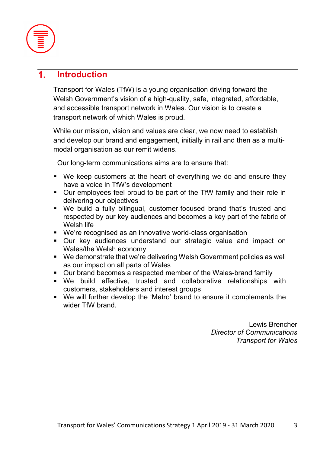

### **Introduction**  $\mathbf 1$

Transport for Wales (TfW) is a young organisation driving forward the Welsh Government's vision of a high-quality, safe, integrated, affordable, and accessible transport network in Wales. Our vision is to create a transport network of which Wales is proud.

While our mission, vision and values are clear, we now need to establish and develop our brand and engagement, initially in rail and then as a multimodal organisation as our remit widens.

Our long-term communications aims are to ensure that:

- We keep customers at the heart of everything we do and ensure they have a voice in TfW's development
- Our employees feel proud to be part of the TfW family and their role in delivering our objectives
- We build a fully bilingual, customer-focused brand that's trusted and respected by our key audiences and becomes a key part of the fabric of Welsh life
- We're recognised as an innovative world-class organisation
- Our key audiences understand our strategic value and impact on Wales/the Welsh economy
- We demonstrate that we're delivering Welsh Government policies as well as our impact on all parts of Wales
- Our brand becomes a respected member of the Wales-brand family
- We build effective, trusted and collaborative relationships with customers, stakeholders and interest groups
- We will further develop the 'Metro' brand to ensure it complements the wider TfW brand.

Lewis Brencher *Director of Communications Transport for Wales*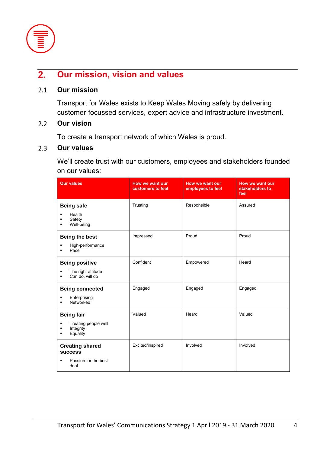

### **Our mission, vision and values**  $\overline{2}$ .

#### $2.1$ **Our mission**

Transport for Wales exists to Keep Wales Moving safely by delivering customer-focussed services, expert advice and infrastructure investment.

### $2.2$ **Our vision**

To create a transport network of which Wales is proud.

#### $2.3$ **Our values**

We'll create trust with our customers, employees and stakeholders founded on our values:

| <b>Our values</b>                                                             | How we want our<br>customers to feel | How we want our<br>employees to feel | How we want our<br>stakeholders to<br>feel |
|-------------------------------------------------------------------------------|--------------------------------------|--------------------------------------|--------------------------------------------|
| <b>Being safe</b><br>Health<br>Safety<br>Well-being<br>$\blacksquare$         | Trusting                             | Responsible                          | Assured                                    |
| <b>Being the best</b><br>High-performance<br>Pace                             | Impressed                            | Proud                                | Proud                                      |
| <b>Being positive</b><br>The right attitude<br>Can do, will do                | Confident                            | Empowered                            | Heard                                      |
| <b>Being connected</b><br>Enterprising<br>Networked                           | Engaged                              | Engaged                              | Engaged                                    |
| <b>Being fair</b><br>Treating people well<br>п<br>Integrity<br>Equality<br>٠  | Valued                               | Heard                                | Valued                                     |
| <b>Creating shared</b><br><b>success</b><br>Passion for the best<br>٠<br>deal | Excited/inspired                     | Involved                             | Involved                                   |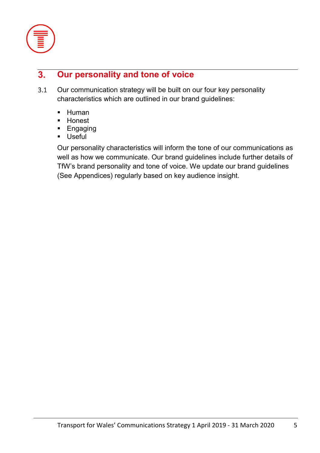

### **Our personality and tone of voice**  $3.$

- $3.1$ Our communication strategy will be built on our four key personality characteristics which are outlined in our brand guidelines:
	- **-** Human
	- **-** Honest
	- **Engaging**
	- Useful

Our personality characteristics will inform the tone of our communications as well as how we communicate. Our brand guidelines include further details of TfW's brand personality and tone of voice. We update our brand guidelines (See Appendices) regularly based on key audience insight.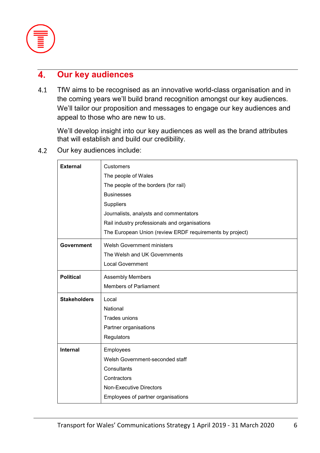

### $\mathbf{4}$ **Our key audiences**

TfW aims to be recognised as an innovative world-class organisation and in  $4.1$ the coming years we'll build brand recognition amongst our key audiences. We'll tailor our proposition and messages to engage our key audiences and appeal to those who are new to us.

We'll develop insight into our key audiences as well as the brand attributes that will establish and build our credibility.

Our key audiences include:  $4.2$ 

| <b>External</b>     | <b>Customers</b>                                         |
|---------------------|----------------------------------------------------------|
|                     | The people of Wales                                      |
|                     | The people of the borders (for rail)                     |
|                     | <b>Businesses</b>                                        |
|                     | <b>Suppliers</b>                                         |
|                     | Journalists, analysts and commentators                   |
|                     | Rail industry professionals and organisations            |
|                     | The European Union (review ERDF requirements by project) |
| <b>Government</b>   | <b>Welsh Government ministers</b>                        |
|                     | The Welsh and UK Governments                             |
|                     | <b>Local Government</b>                                  |
| <b>Political</b>    | <b>Assembly Members</b>                                  |
|                     | <b>Members of Parliament</b>                             |
| <b>Stakeholders</b> | Local                                                    |
|                     | National                                                 |
|                     | Trades unions                                            |
|                     | Partner organisations                                    |
|                     | Regulators                                               |
| <b>Internal</b>     | Employees                                                |
|                     | Welsh Government-seconded staff                          |
|                     | Consultants                                              |
|                     | Contractors                                              |
|                     | <b>Non-Executive Directors</b>                           |
|                     | Employees of partner organisations                       |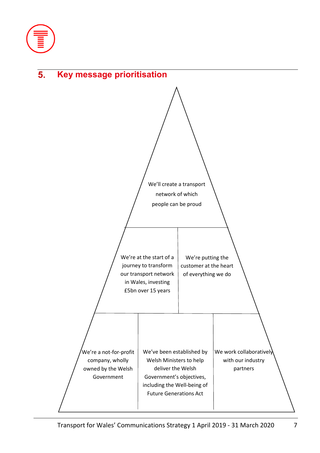

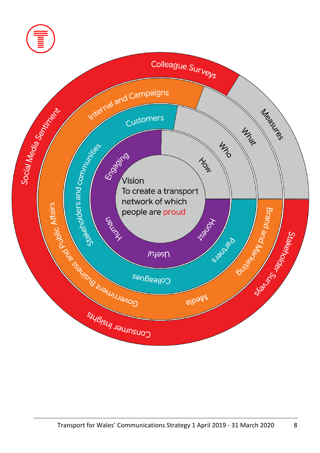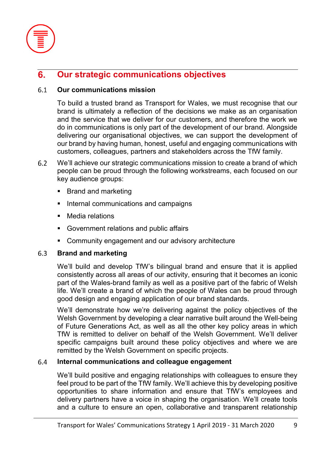

### **Our strategic communications objectives**  $6.$

### $6.1$ **Our communications mission**

To build a trusted brand as Transport for Wales, we must recognise that our brand is ultimately a reflection of the decisions we make as an organisation and the service that we deliver for our customers, and therefore the work we do in communications is only part of the development of our brand. Alongside delivering our organisational objectives, we can support the development of our brand by having human, honest, useful and engaging communications with customers, colleagues, partners and stakeholders across the TfW family.

- $6.2$ We'll achieve our strategic communications mission to create a brand of which people can be proud through the following workstreams, each focused on our key audience groups:
	- **Brand and marketing**
	- **Internal communications and campaigns**
	- Media relations
	- Government relations and public affairs
	- **EXEDEM** Community engagement and our advisory architecture

### 6.3 **Brand and marketing**

We'll build and develop TfW's bilingual brand and ensure that it is applied consistently across all areas of our activity, ensuring that it becomes an iconic part of the Wales-brand family as well as a positive part of the fabric of Welsh life. We'll create a brand of which the people of Wales can be proud through good design and engaging application of our brand standards.

We'll demonstrate how we're delivering against the policy objectives of the Welsh Government by developing a clear narrative built around the Well-being of Future Generations Act, as well as all the other key policy areas in which TfW is remitted to deliver on behalf of the Welsh Government. We'll deliver specific campaigns built around these policy objectives and where we are remitted by the Welsh Government on specific projects.

### 6.4 **Internal communications and colleague engagement**

We'll build positive and engaging relationships with colleagues to ensure they feel proud to be part of the TfW family. We'll achieve this by developing positive opportunities to share information and ensure that TfW's employees and delivery partners have a voice in shaping the organisation. We'll create tools and a culture to ensure an open, collaborative and transparent relationship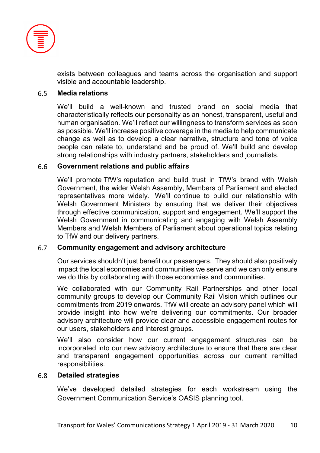

exists between colleagues and teams across the organisation and support visible and accountable leadership.

#### 6.5 **Media relations**

We'll build a well-known and trusted brand on social media that characteristically reflects our personality as an honest, transparent, useful and human organisation. We'll reflect our willingness to transform services as soon as possible. We'll increase positive coverage in the media to help communicate change as well as to develop a clear narrative, structure and tone of voice people can relate to, understand and be proud of. We'll build and develop strong relationships with industry partners, stakeholders and journalists.

#### 6.6 **Government relations and public affairs**

We'll promote TfW's reputation and build trust in TfW's brand with Welsh Government, the wider Welsh Assembly, Members of Parliament and elected representatives more widely. We'll continue to build our relationship with Welsh Government Ministers by ensuring that we deliver their objectives through effective communication, support and engagement. We'll support the Welsh Government in communicating and engaging with Welsh Assembly Members and Welsh Members of Parliament about operational topics relating to TfW and our delivery partners.

#### 6.7 **Community engagement and advisory architecture**

Our services shouldn't just benefit our passengers. They should also positively impact the local economies and communities we serve and we can only ensure we do this by collaborating with those economies and communities.

We collaborated with our Community Rail Partnerships and other local community groups to develop our Community Rail Vision which outlines our commitments from 2019 onwards. TfW will create an advisory panel which will provide insight into how we're delivering our commitments. Our broader advisory architecture will provide clear and accessible engagement routes for our users, stakeholders and interest groups.

We'll also consider how our current engagement structures can be incorporated into our new advisory architecture to ensure that there are clear and transparent engagement opportunities across our current remitted responsibilities.

#### 6.8 **Detailed strategies**

We've developed detailed strategies for each workstream using the Government Communication Service's OASIS planning tool.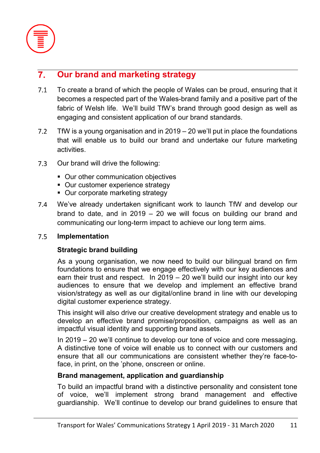

### **Our brand and marketing strategy**  $7<sub>1</sub>$

- $7.1$ To create a brand of which the people of Wales can be proud, ensuring that it becomes a respected part of the Wales-brand family and a positive part of the fabric of Welsh life. We'll build TfW's brand through good design as well as engaging and consistent application of our brand standards.
- $7.2$ TfW is a young organisation and in 2019 – 20 we'll put in place the foundations that will enable us to build our brand and undertake our future marketing activities.
- $7.3$ Our brand will drive the following:
	- Our other communication objectives
	- Our customer experience strategy
	- Our corporate marketing strategy
- We've already undertaken significant work to launch TfW and develop our  $7.4$ brand to date, and in 2019 – 20 we will focus on building our brand and communicating our long-term impact to achieve our long term aims.

### $7.5$ **Implementation**

## **Strategic brand building**

As a young organisation, we now need to build our bilingual brand on firm foundations to ensure that we engage effectively with our key audiences and earn their trust and respect. In 2019 – 20 we'll build our insight into our key audiences to ensure that we develop and implement an effective brand vision/strategy as well as our digital/online brand in line with our developing digital customer experience strategy.

This insight will also drive our creative development strategy and enable us to develop an effective brand promise/proposition, campaigns as well as an impactful visual identity and supporting brand assets.

In 2019 – 20 we'll continue to develop our tone of voice and core messaging. A distinctive tone of voice will enable us to connect with our customers and ensure that all our communications are consistent whether they're face-toface, in print, on the 'phone, onscreen or online.

## **Brand management, application and guardianship**

To build an impactful brand with a distinctive personality and consistent tone of voice, we'll implement strong brand management and effective guardianship. We'll continue to develop our brand guidelines to ensure that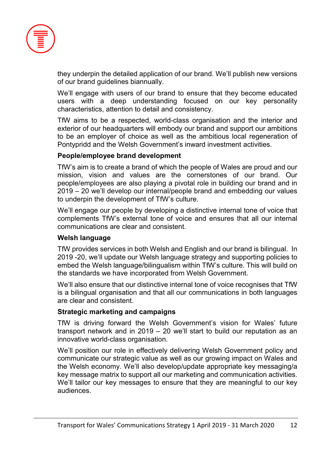

they underpin the detailed application of our brand. We'll publish new versions of our brand guidelines biannually.

We'll engage with users of our brand to ensure that they become educated users with a deep understanding focused on our key personality characteristics, attention to detail and consistency.

TfW aims to be a respected, world-class organisation and the interior and exterior of our headquarters will embody our brand and support our ambitions to be an employer of choice as well as the ambitious local regeneration of Pontypridd and the Welsh Government's inward investment activities.

## **People/employee brand development**

TfW's aim is to create a brand of which the people of Wales are proud and our mission, vision and values are the cornerstones of our brand. Our people/employees are also playing a pivotal role in building our brand and in 2019 – 20 we'll develop our internal/people brand and embedding our values to underpin the development of TfW's culture.

We'll engage our people by developing a distinctive internal tone of voice that complements TfW's external tone of voice and ensures that all our internal communications are clear and consistent.

## **Welsh language**

TfW provides services in both Welsh and English and our brand is bilingual. In 2019 -20, we'll update our Welsh language strategy and supporting policies to embed the Welsh language/bilingualism within TfW's culture. This will build on the standards we have incorporated from Welsh Government.

We'll also ensure that our distinctive internal tone of voice recognises that TfW is a bilingual organisation and that all our communications in both languages are clear and consistent.

## **Strategic marketing and campaigns**

TfW is driving forward the Welsh Government's vision for Wales' future transport network and in 2019 – 20 we'll start to build our reputation as an innovative world-class organisation.

We'll position our role in effectively delivering Welsh Government policy and communicate our strategic value as well as our growing impact on Wales and the Welsh economy. We'll also develop/update appropriate key messaging/a key message matrix to support all our marketing and communication activities. We'll tailor our key messages to ensure that they are meaningful to our key audiences.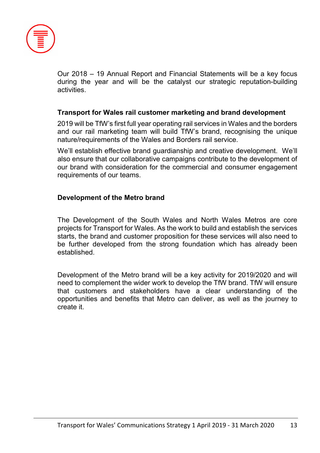

Our 2018 – 19 Annual Report and Financial Statements will be a key focus during the year and will be the catalyst our strategic reputation-building activities.

## **Transport for Wales rail customer marketing and brand development**

2019 will be TfW's first full year operating rail services in Wales and the borders and our rail marketing team will build TfW's brand, recognising the unique nature/requirements of the Wales and Borders rail service.

We'll establish effective brand guardianship and creative development. We'll also ensure that our collaborative campaigns contribute to the development of our brand with consideration for the commercial and consumer engagement requirements of our teams.

## **Development of the Metro brand**

The Development of the South Wales and North Wales Metros are core projects for Transport for Wales. As the work to build and establish the services starts, the brand and customer proposition for these services will also need to be further developed from the strong foundation which has already been established.

Development of the Metro brand will be a key activity for 2019/2020 and will need to complement the wider work to develop the TfW brand. TfW will ensure that customers and stakeholders have a clear understanding of the opportunities and benefits that Metro can deliver, as well as the journey to create it.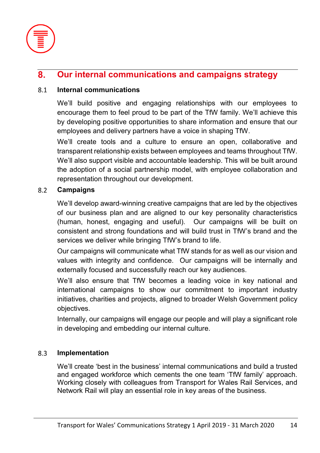

### **Our internal communications and campaigns strategy**  $\mathbf{8}$ .

### 8.1 **Internal communications**

We'll build positive and engaging relationships with our employees to encourage them to feel proud to be part of the TfW family. We'll achieve this by developing positive opportunities to share information and ensure that our employees and delivery partners have a voice in shaping TfW.

We'll create tools and a culture to ensure an open, collaborative and transparent relationship exists between employees and teams throughout TfW. We'll also support visible and accountable leadership. This will be built around the adoption of a social partnership model, with employee collaboration and representation throughout our development.

### 8.2 **Campaigns**

We'll develop award-winning creative campaigns that are led by the objectives of our business plan and are aligned to our key personality characteristics (human, honest, engaging and useful). Our campaigns will be built on consistent and strong foundations and will build trust in TfW's brand and the services we deliver while bringing TfW's brand to life.

Our campaigns will communicate what TfW stands for as well as our vision and values with integrity and confidence. Our campaigns will be internally and externally focused and successfully reach our key audiences.

We'll also ensure that TfW becomes a leading voice in key national and international campaigns to show our commitment to important industry initiatives, charities and projects, aligned to broader Welsh Government policy objectives.

Internally, our campaigns will engage our people and will play a significant role in developing and embedding our internal culture.

### 8.3 **Implementation**

We'll create 'best in the business' internal communications and build a trusted and engaged workforce which cements the one team 'TfW family' approach. Working closely with colleagues from Transport for Wales Rail Services, and Network Rail will play an essential role in key areas of the business.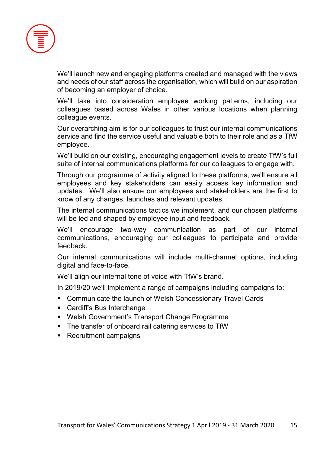

We'll launch new and engaging platforms created and managed with the views and needs of our staff across the organisation, which will build on our aspiration of becoming an employer of choice.

We'll take into consideration employee working patterns, including our colleagues based across Wales in other various locations when planning colleague events.

Our overarching aim is for our colleagues to trust our internal communications service and find the service useful and valuable both to their role and as a TfW employee.

We'll build on our existing, encouraging engagement levels to create TfW's full suite of internal communications platforms for our colleagues to engage with.

Through our programme of activity aligned to these platforms, we'll ensure all employees and key stakeholders can easily access key information and updates. We'll also ensure our employees and stakeholders are the first to know of any changes, launches and relevant updates.

The internal communications tactics we implement, and our chosen platforms will be led and shaped by employee input and feedback.

We'll encourage two-way communication as part of our internal communications, encouraging our colleagues to participate and provide feedback.

Our internal communications will include multi-channel options, including digital and face-to-face.

We'll align our internal tone of voice with TfW's brand.

In 2019/20 we'll implement a range of campaigns including campaigns to:

- Communicate the launch of Welsh Concessionary Travel Cards
- Cardiff's Bus Interchange
- Welsh Government's Transport Change Programme
- The transfer of onboard rail catering services to TfW
- Recruitment campaigns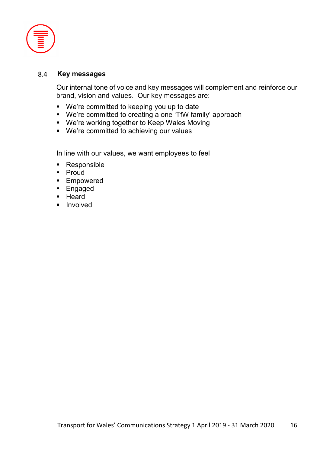

#### **Key messages**  8.4

Our internal tone of voice and key messages will complement and reinforce our brand, vision and values. Our key messages are:

- We're committed to keeping you up to date
- We're committed to creating a one 'TfW family' approach
- We're working together to Keep Wales Moving
- We're committed to achieving our values

In line with our values, we want employees to feel

- **Responsible**
- Proud
- **Empowered**
- **Engaged**
- **Heard**
- **Involved**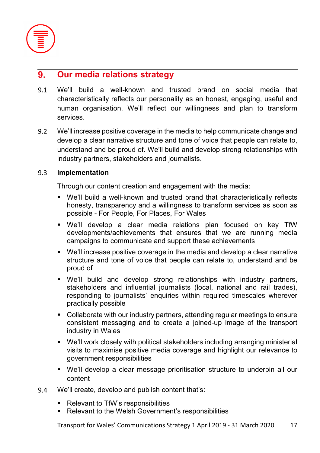

### **Our media relations strategy**  $9<sub>1</sub>$

- $9.1$ We'll build a well-known and trusted brand on social media that characteristically reflects our personality as an honest, engaging, useful and human organisation. We'll reflect our willingness and plan to transform services.
- $9.2$ We'll increase positive coverage in the media to help communicate change and develop a clear narrative structure and tone of voice that people can relate to, understand and be proud of. We'll build and develop strong relationships with industry partners, stakeholders and journalists.

### $9.3$ **Implementation**

Through our content creation and engagement with the media:

- We'll build a well-known and trusted brand that characteristically reflects honesty, transparency and a willingness to transform services as soon as possible - For People, For Places, For Wales
- We'll develop a clear media relations plan focused on key TfW developments/achievements that ensures that we are running media campaigns to communicate and support these achievements
- We'll increase positive coverage in the media and develop a clear narrative structure and tone of voice that people can relate to, understand and be proud of
- We'll build and develop strong relationships with industry partners, stakeholders and influential journalists (local, national and rail trades), responding to journalists' enquiries within required timescales wherever practically possible
- Collaborate with our industry partners, attending regular meetings to ensure consistent messaging and to create a joined-up image of the transport industry in Wales
- We'll work closely with political stakeholders including arranging ministerial visits to maximise positive media coverage and highlight our relevance to government responsibilities
- We'll develop a clear message prioritisation structure to underpin all our content
- 9.4 We'll create, develop and publish content that's:
	- Relevant to TfW's responsibilities
	- **Relevant to the Welsh Government's responsibilities**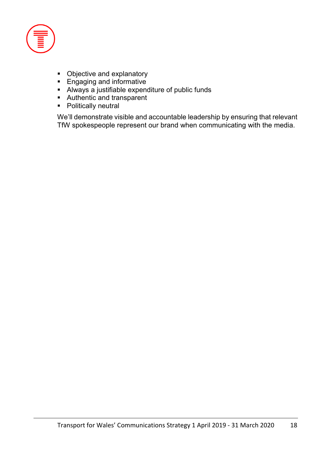

- Objective and explanatory
- **Engaging and informative**
- Always a justifiable expenditure of public funds
- Authentic and transparent
- Politically neutral

We'll demonstrate visible and accountable leadership by ensuring that relevant TfW spokespeople represent our brand when communicating with the media.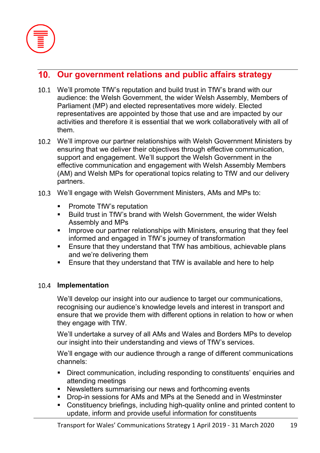

# **Our government relations and public affairs strategy**

- We'll promote TfW's reputation and build trust in TfW's brand with our audience: the Welsh Government, the wider Welsh Assembly, Members of Parliament (MP) and elected representatives more widely. Elected representatives are appointed by those that use and are impacted by our activities and therefore it is essential that we work collaboratively with all of them.
- We'll improve our partner relationships with Welsh Government Ministers by ensuring that we deliver their objectives through effective communication, support and engagement. We'll support the Welsh Government in the effective communication and engagement with Welsh Assembly Members (AM) and Welsh MPs for operational topics relating to TfW and our delivery partners.
- We'll engage with Welsh Government Ministers, AMs and MPs to:
	- Promote TfW's reputation
	- Build trust in TfW's brand with Welsh Government, the wider Welsh Assembly and MPs
	- **IMPROVE OUT partner relationships with Ministers, ensuring that they feel** informed and engaged in TfW's journey of transformation
	- Ensure that they understand that TfW has ambitious, achievable plans and we're delivering them
	- **Ensure that they understand that TfW is available and here to help**

## 10.4 Implementation

We'll develop our insight into our audience to target our communications, recognising our audience's knowledge levels and interest in transport and ensure that we provide them with different options in relation to how or when they engage with TfW.

We'll undertake a survey of all AMs and Wales and Borders MPs to develop our insight into their understanding and views of TfW's services.

We'll engage with our audience through a range of different communications channels:

- Direct communication, including responding to constituents' enquiries and attending meetings
- **Newsletters summarising our news and forthcoming events**
- Drop-in sessions for AMs and MPs at the Senedd and in Westminster
- Constituency briefings, including high-quality online and printed content to update, inform and provide useful information for constituents